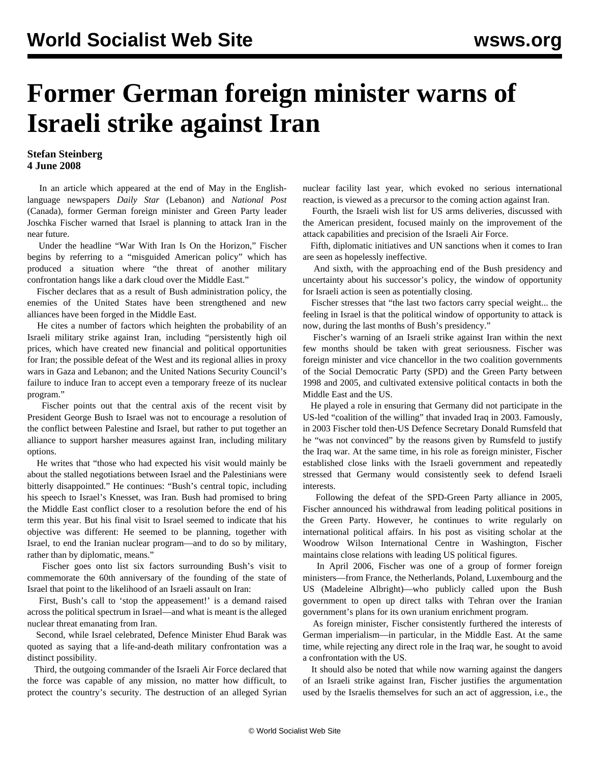## **Former German foreign minister warns of Israeli strike against Iran**

## **Stefan Steinberg 4 June 2008**

 In an article which appeared at the end of May in the Englishlanguage newspapers *Daily Star* (Lebanon) and *National Post* (Canada), former German foreign minister and Green Party leader Joschka Fischer warned that Israel is planning to attack Iran in the near future.

 Under the headline "War With Iran Is On the Horizon," Fischer begins by referring to a "misguided American policy" which has produced a situation where "the threat of another military confrontation hangs like a dark cloud over the Middle East."

 Fischer declares that as a result of Bush administration policy, the enemies of the United States have been strengthened and new alliances have been forged in the Middle East.

 He cites a number of factors which heighten the probability of an Israeli military strike against Iran, including "persistently high oil prices, which have created new financial and political opportunities for Iran; the possible defeat of the West and its regional allies in proxy wars in Gaza and Lebanon; and the United Nations Security Council's failure to induce Iran to accept even a temporary freeze of its nuclear program."

Fischer points out that the central axis of the recent visit by President George Bush to Israel was not to encourage a resolution of the conflict between Palestine and Israel, but rather to put together an alliance to support harsher measures against Iran, including military options.

 He writes that "those who had expected his visit would mainly be about the stalled negotiations between Israel and the Palestinians were bitterly disappointed." He continues: "Bush's central topic, including his speech to Israel's Knesset, was Iran. Bush had promised to bring the Middle East conflict closer to a resolution before the end of his term this year. But his final visit to Israel seemed to indicate that his objective was different: He seemed to be planning, together with Israel, to end the Iranian nuclear program—and to do so by military, rather than by diplomatic, means."

 Fischer goes onto list six factors surrounding Bush's visit to commemorate the 60th anniversary of the founding of the state of Israel that point to the likelihood of an Israeli assault on Iran:

 First, Bush's call to 'stop the appeasement!' is a demand raised across the political spectrum in Israel—and what is meant is the alleged nuclear threat emanating from Iran.

 Second, while Israel celebrated, Defence Minister Ehud Barak was quoted as saying that a life-and-death military confrontation was a distinct possibility.

 Third, the outgoing commander of the Israeli Air Force declared that the force was capable of any mission, no matter how difficult, to protect the country's security. The destruction of an alleged Syrian nuclear facility last year, which evoked no serious international reaction, is viewed as a precursor to the coming action against Iran.

 Fourth, the Israeli wish list for US arms deliveries, discussed with the American president, focused mainly on the improvement of the attack capabilities and precision of the Israeli Air Force.

 Fifth, diplomatic initiatives and UN sanctions when it comes to Iran are seen as hopelessly ineffective.

 And sixth, with the approaching end of the Bush presidency and uncertainty about his successor's policy, the window of opportunity for Israeli action is seen as potentially closing.

 Fischer stresses that "the last two factors carry special weight... the feeling in Israel is that the political window of opportunity to attack is now, during the last months of Bush's presidency."

 Fischer's warning of an Israeli strike against Iran within the next few months should be taken with great seriousness. Fischer was foreign minister and vice chancellor in the two coalition governments of the Social Democratic Party (SPD) and the Green Party between 1998 and 2005, and cultivated extensive political contacts in both the Middle East and the US.

 He played a role in ensuring that Germany did not participate in the US-led "coalition of the willing" that invaded Iraq in 2003. Famously, in 2003 Fischer told then-US Defence Secretary Donald Rumsfeld that he "was not convinced" by the reasons given by Rumsfeld to justify the Iraq war. At the same time, in his role as foreign minister, Fischer established close links with the Israeli government and repeatedly stressed that Germany would consistently seek to defend Israeli interests.

 Following the defeat of the SPD-Green Party alliance in 2005, Fischer announced his withdrawal from leading political positions in the Green Party. However, he continues to write regularly on international political affairs. In his post as visiting scholar at the Woodrow Wilson International Centre in Washington, Fischer maintains close relations with leading US political figures.

 In April 2006, Fischer was one of a group of former foreign ministers—from France, the Netherlands, Poland, Luxembourg and the US (Madeleine Albright)—who publicly called upon the Bush government to open up direct talks with Tehran over the Iranian government's plans for its own uranium enrichment program.

 As foreign minister, Fischer consistently furthered the interests of German imperialism—in particular, in the Middle East. At the same time, while rejecting any direct role in the Iraq war, he sought to avoid a confrontation with the US.

 It should also be noted that while now warning against the dangers of an Israeli strike against Iran, Fischer justifies the argumentation used by the Israelis themselves for such an act of aggression, i.e., the